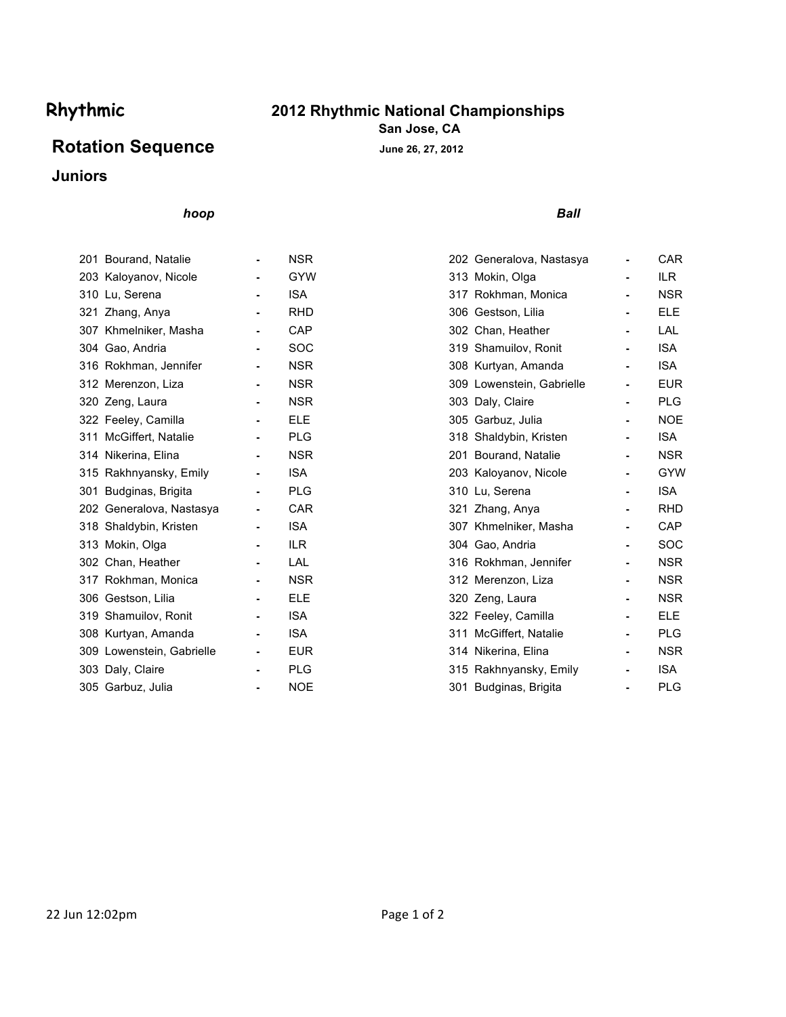# **Rhythmic 2012 Rhythmic National Championships**

**San Jose, CA**

## Rotation Sequence<br> **June 26, 27, 2012**

## **Juniors**

### *hoop Ball*

| 201 Bourand, Natalie      | <b>NSR</b> | 202 Generalova, Nastasya  |                | CAR        |
|---------------------------|------------|---------------------------|----------------|------------|
| 203 Kaloyanov, Nicole     | <b>GYW</b> | 313 Mokin, Olga           |                | ILR.       |
| 310 Lu, Serena            | <b>ISA</b> | 317 Rokhman, Monica       | ٠              | <b>NSR</b> |
| 321 Zhang, Anya           | <b>RHD</b> | 306 Gestson, Lilia        |                | <b>ELE</b> |
| 307 Khmelniker, Masha     | CAP        | 302 Chan, Heather         | ٠              | LAL        |
| 304 Gao, Andria           | <b>SOC</b> | 319 Shamuilov, Ronit      | $\blacksquare$ | <b>ISA</b> |
| 316 Rokhman, Jennifer     | <b>NSR</b> | 308 Kurtyan, Amanda       | ٠              | <b>ISA</b> |
| 312 Merenzon, Liza        | <b>NSR</b> | 309 Lowenstein, Gabrielle |                | <b>EUR</b> |
| 320 Zeng, Laura           | <b>NSR</b> | 303 Daly, Claire          | ٠              | <b>PLG</b> |
| 322 Feeley, Camilla       | <b>ELE</b> | 305 Garbuz, Julia         |                | <b>NOE</b> |
| 311 McGiffert, Natalie    | <b>PLG</b> | 318 Shaldybin, Kristen    | ٠              | <b>ISA</b> |
| 314 Nikerina, Elina       | <b>NSR</b> | 201 Bourand, Natalie      | ٠              | <b>NSR</b> |
| 315 Rakhnyansky, Emily    | <b>ISA</b> | 203 Kaloyanov, Nicole     | ٠              | GYW        |
| 301 Budginas, Brigita     | <b>PLG</b> | 310 Lu, Serena            |                | <b>ISA</b> |
| 202 Generalova, Nastasya  | <b>CAR</b> | 321 Zhang, Anya           | $\blacksquare$ | <b>RHD</b> |
| 318 Shaldybin, Kristen    | <b>ISA</b> | 307 Khmelniker, Masha     |                | CAP        |
| 313 Mokin, Olga           | <b>ILR</b> | 304 Gao, Andria           |                | SOC        |
| 302 Chan, Heather         | LAL        | 316 Rokhman, Jennifer     | ۰.             | <b>NSR</b> |
| 317 Rokhman, Monica       | <b>NSR</b> | 312 Merenzon, Liza        | ۰.             | <b>NSR</b> |
| 306 Gestson, Lilia        | <b>ELE</b> | 320 Zeng, Laura           |                | <b>NSR</b> |
| 319 Shamuilov, Ronit      | <b>ISA</b> | 322 Feeley, Camilla       | ٠              | <b>ELE</b> |
| 308 Kurtyan, Amanda       | <b>ISA</b> | 311 McGiffert, Natalie    |                | <b>PLG</b> |
| 309 Lowenstein, Gabrielle | <b>EUR</b> | 314 Nikerina, Elina       | ٠              | <b>NSR</b> |
| 303 Daly, Claire          | <b>PLG</b> | 315 Rakhnyansky, Emily    | -              | <b>ISA</b> |
| 305 Garbuz, Julia         | <b>NOE</b> | 301 Budginas, Brigita     |                | <b>PLG</b> |
|                           |            |                           |                |            |

| 201 Bourand, Natalie      | $\blacksquare$ | <b>NSR</b> | 202 Generalova, Nastasya  | $\blacksquare$ | <b>CAR</b> |
|---------------------------|----------------|------------|---------------------------|----------------|------------|
| 203 Kaloyanov, Nicole     |                | <b>GYW</b> | 313 Mokin, Olga           |                | ILR.       |
| 310 Lu, Serena            |                | <b>ISA</b> | 317 Rokhman, Monica       |                | <b>NSR</b> |
| 321 Zhang, Anya           |                | <b>RHD</b> | 306 Gestson, Lilia        |                | <b>ELE</b> |
| 307 Khmelniker, Masha     |                | CAP        | 302 Chan, Heather         | $\blacksquare$ | LAL        |
| 304 Gao, Andria           |                | <b>SOC</b> | 319 Shamuilov, Ronit      | $\blacksquare$ | <b>ISA</b> |
| 316 Rokhman, Jennifer     | $\blacksquare$ | <b>NSR</b> | 308 Kurtyan, Amanda       | $\blacksquare$ | <b>ISA</b> |
| 312 Merenzon, Liza        |                | <b>NSR</b> | 309 Lowenstein, Gabrielle |                | <b>EUR</b> |
| 320 Zeng, Laura           |                | <b>NSR</b> | 303 Daly, Claire          |                | <b>PLG</b> |
| 322 Feeley, Camilla       |                | <b>ELE</b> | 305 Garbuz, Julia         |                | <b>NOE</b> |
| 311 McGiffert, Natalie    |                | <b>PLG</b> | 318 Shaldybin, Kristen    | $\blacksquare$ | <b>ISA</b> |
| 314 Nikerina, Elina       | $\blacksquare$ | <b>NSR</b> | 201 Bourand, Natalie      | $\blacksquare$ | <b>NSR</b> |
| 315 Rakhnyansky, Emily    |                | <b>ISA</b> | 203 Kaloyanov, Nicole     |                | <b>GYW</b> |
| 301 Budginas, Brigita     |                | <b>PLG</b> | 310 Lu, Serena            |                | <b>ISA</b> |
| 202 Generalova, Nastasya  |                | <b>CAR</b> | 321 Zhang, Anya           |                | <b>RHD</b> |
| 318 Shaldybin, Kristen    |                | <b>ISA</b> | 307 Khmelniker, Masha     |                | CAP        |
| 313 Mokin, Olga           |                | <b>ILR</b> | 304 Gao, Andria           | $\blacksquare$ | <b>SOC</b> |
| 302 Chan, Heather         |                | LAL        | 316 Rokhman, Jennifer     | $\blacksquare$ | <b>NSR</b> |
| 317 Rokhman, Monica       |                | <b>NSR</b> | 312 Merenzon, Liza        |                | <b>NSR</b> |
| 306 Gestson, Lilia        |                | <b>ELE</b> | 320 Zeng, Laura           |                | <b>NSR</b> |
| 319 Shamuilov, Ronit      |                | <b>ISA</b> | 322 Feeley, Camilla       |                | <b>ELE</b> |
| 308 Kurtyan, Amanda       |                | <b>ISA</b> | 311 McGiffert, Natalie    | $\blacksquare$ | <b>PLG</b> |
| 309 Lowenstein, Gabrielle | $\blacksquare$ | <b>EUR</b> | 314 Nikerina, Elina       | $\blacksquare$ | <b>NSR</b> |
| 303 Daly, Claire          |                | <b>PLG</b> | 315 Rakhnyansky, Emily    |                | <b>ISA</b> |
| 305 Garbuz, Julia         |                | <b>NOE</b> | 301 Budginas, Brigita     |                | <b>PLG</b> |
|                           |                |            |                           |                |            |